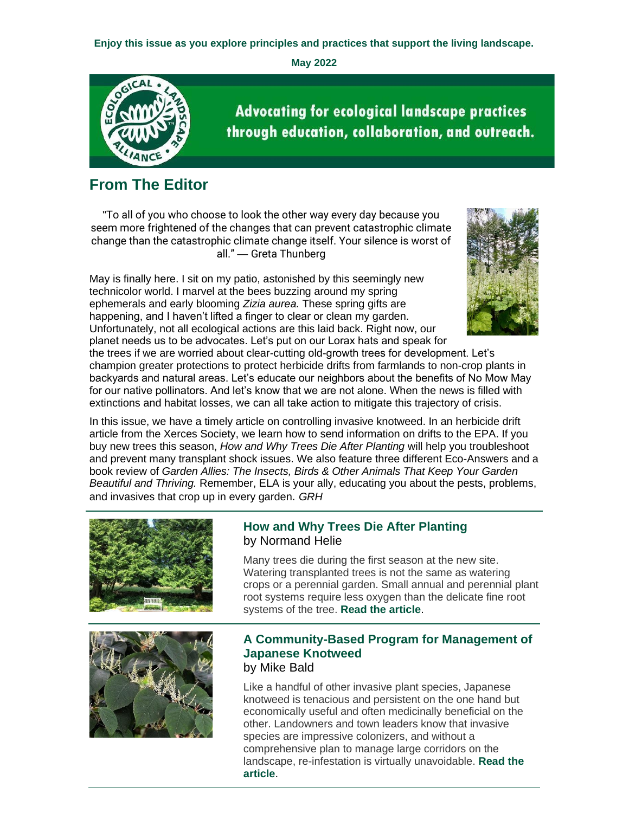**Enjoy this issue as you explore principles and practices that support the living landscape.**

**May 2022**



**Advocating for ecological landscape practices** through education, collaboration, and outreach.

# **From The Editor**

"To all of you who choose to look the other way every day because you seem more frightened of the changes that can prevent catastrophic climate change than the catastrophic climate change itself. Your silence is worst of all." — Greta Thunberg

May is finally here. I sit on my patio, astonished by this seemingly new technicolor world. I marvel at the bees buzzing around my spring ephemerals and early blooming *Zizia aurea.* These spring gifts are happening, and I haven't lifted a finger to clear or clean my garden. Unfortunately, not all ecological actions are this laid back. Right now, our planet needs us to be advocates. Let's put on our Lorax hats and speak for



the trees if we are worried about clear-cutting old-growth trees for development. Let's champion greater protections to protect herbicide drifts from farmlands to non-crop plants in backyards and natural areas. Let's educate our neighbors about the benefits of No Mow May for our native pollinators. And let's know that we are not alone. When the news is filled with extinctions and habitat losses, we can all take action to mitigate this trajectory of crisis.

In this issue, we have a timely article on controlling invasive knotweed. In an herbicide drift article from the Xerces Society, we learn how to send information on drifts to the EPA. If you buy new trees this season, *How and Why Trees Die After Planting* will help you troubleshoot and prevent many transplant shock issues. We also feature three different Eco-Answers and a book review of *Garden Allies: The Insects, Birds & Other Animals That Keep Your Garden Beautiful and Thriving.* Remember, ELA is your ally, educating you about the pests, problems, and invasives that crop up in every garden. *GRH*



# **How and Why Trees Die After Planting** by Normand Helie

Many trees die during the first season at the new site. Watering transplanted trees is not the same as watering crops or a perennial garden. Small annual and perennial plant root systems require less oxygen than the delicate fine root systems of the tree. **[Read the article](https://r20.rs6.net/tn.jsp?f=001_IfXVrcu6DhDHC4pZmx4Qz1HtOdLnMdEeBB92HCvgpSvzzVvtuzzhEN4l0IQ615Ly5xEaXvHTWv4oWy_EpSe3RgUGKiP-IWdvdAOJ-45JqtpRHDnB7LUHapqoz_kBsPu4gWZjA37Xz3Z73Zei2BIeviVnIk4omHXDWUTagLJBzMTrRGP5P4K4kWttrLt0EHFV1ApaCEunDlWTeDcgZE3VaRpITigoqOktkx26d1Hr6ffkjvXHxam6Q==&c=kKxh0GTS0Z66ScxW-a08U9RHpQt7RurTgQwjzn_tO1od5R1AfTFqYQ==&ch=fQmOyWa4e6_zjXYxrfqZcjEV0CWhik6ggvwBUNYQsA1HGOepIBZSBg==)**.



## **A Community-Based Program for Management of Japanese Knotweed** by Mike Bald

Like a handful of other invasive plant species, Japanese knotweed is tenacious and persistent on the one hand but economically useful and often medicinally beneficial on the other. Landowners and town leaders know that invasive species are impressive colonizers, and without a comprehensive plan to manage large corridors on the landscape, re-infestation is virtually unavoidable. **[Read the](https://r20.rs6.net/tn.jsp?f=001_IfXVrcu6DhDHC4pZmx4Qz1HtOdLnMdEeBB92HCvgpSvzzVvtuzzhEN4l0IQ615L3vFscfEwYZLUG1N8LFDpgYagokEzPTU968Nh9HQ3gMgf943G-K32oaLinLYH0Vo89jd-0E-ygPHvtnHgl3u_q7FoMabr7j2Cs1MwCtIieja84AaRjEYo5SBsv0nV2X5hFdlGGyEhu8WxZAMk2HwEfKH9illr380WtisOv2OdpaG88P6WNH1BAbMP277WvBCLXURxAqdZp_vzJY5TPPLRUwn5a5CFtzIR89P5bfhkbjo=&c=kKxh0GTS0Z66ScxW-a08U9RHpQt7RurTgQwjzn_tO1od5R1AfTFqYQ==&ch=fQmOyWa4e6_zjXYxrfqZcjEV0CWhik6ggvwBUNYQsA1HGOepIBZSBg==)  [article](https://r20.rs6.net/tn.jsp?f=001_IfXVrcu6DhDHC4pZmx4Qz1HtOdLnMdEeBB92HCvgpSvzzVvtuzzhEN4l0IQ615L3vFscfEwYZLUG1N8LFDpgYagokEzPTU968Nh9HQ3gMgf943G-K32oaLinLYH0Vo89jd-0E-ygPHvtnHgl3u_q7FoMabr7j2Cs1MwCtIieja84AaRjEYo5SBsv0nV2X5hFdlGGyEhu8WxZAMk2HwEfKH9illr380WtisOv2OdpaG88P6WNH1BAbMP277WvBCLXURxAqdZp_vzJY5TPPLRUwn5a5CFtzIR89P5bfhkbjo=&c=kKxh0GTS0Z66ScxW-a08U9RHpQt7RurTgQwjzn_tO1od5R1AfTFqYQ==&ch=fQmOyWa4e6_zjXYxrfqZcjEV0CWhik6ggvwBUNYQsA1HGOepIBZSBg==)**.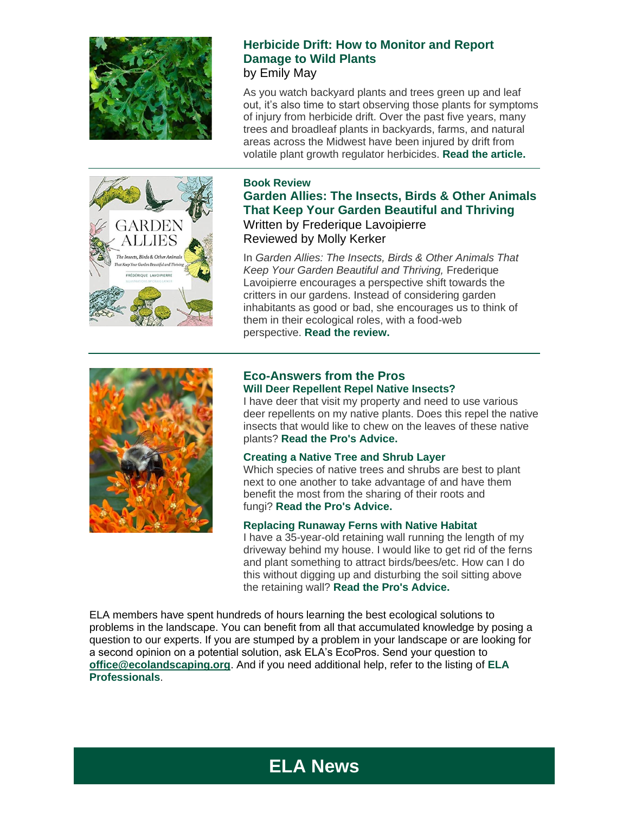

## **Herbicide Drift: How to Monitor and Report Damage to Wild Plants** by Emily May

As you watch backyard plants and trees green up and leaf out, it's also time to start observing those plants for symptoms of injury from herbicide drift. Over the past five years, many trees and broadleaf plants in backyards, farms, and natural areas across the Midwest have been injured by drift from volatile plant growth regulator herbicides. **[Read the article.](https://r20.rs6.net/tn.jsp?f=001_IfXVrcu6DhDHC4pZmx4Qz1HtOdLnMdEeBB92HCvgpSvzzVvtuzzhEN4l0IQ615L5aJVgwg2ZWWnyFUjThysFkqqfbwQNk69sGnDZYDuzFHtBPZ04AO0cuhXvzoFt6lkPEavL2LqgYH_-5sLcx3njDw5mJNR9Rp_iDWud2LqW3fOi-J_Ike4QE141PlhTaWvhB43Uow-m9XsYC8VQHakOGF2CQCE-P_dl6_XRwp0z-niUX-cGcs2sMXLy_RjliXE39uBY5S7cqvdXwOM0qRoug==&c=kKxh0GTS0Z66ScxW-a08U9RHpQt7RurTgQwjzn_tO1od5R1AfTFqYQ==&ch=fQmOyWa4e6_zjXYxrfqZcjEV0CWhik6ggvwBUNYQsA1HGOepIBZSBg==)**



## **Book Review Garden Allies: The Insects, Birds & Other Animals That Keep Your Garden Beautiful and Thriving** Written by Frederique Lavoipierre Reviewed by Molly Kerker

In *Garden Allies: The Insects, Birds & Other Animals That Keep Your Garden Beautiful and Thriving,* Frederique Lavoipierre encourages a perspective shift towards the critters in our gardens. Instead of considering garden inhabitants as good or bad, she encourages us to think of them in their ecological roles, with a food-web perspective. **[Read the review.](https://r20.rs6.net/tn.jsp?f=001_IfXVrcu6DhDHC4pZmx4Qz1HtOdLnMdEeBB92HCvgpSvzzVvtuzzhEN4l0IQ615LGM_AQTkwUAO8W7sOQ_f2gtwqVcEyR38Mw2zbgNkmEFR2xRpuf06WS2tu3A10LZhsH48nN_WVHgXA15fXS0gpLhzyC1gmdtjynLuHO8XapK_tzsR-crKip-IqyaNPvPgq-DthKoKIOY2A77gjP6zjWIu3iwNOZNg_&c=kKxh0GTS0Z66ScxW-a08U9RHpQt7RurTgQwjzn_tO1od5R1AfTFqYQ==&ch=fQmOyWa4e6_zjXYxrfqZcjEV0CWhik6ggvwBUNYQsA1HGOepIBZSBg==)**



## **Eco-Answers from the Pros Will Deer Repellent Repel Native Insects?**

I have deer that visit my property and need to use various deer repellents on my native plants. Does this repel the native insects that would like to chew on the leaves of these native plants? **[Read the Pro's Advice.](https://r20.rs6.net/tn.jsp?f=001_IfXVrcu6DhDHC4pZmx4Qz1HtOdLnMdEeBB92HCvgpSvzzVvtuzzhEN4l0IQ615LN2jYuD4YELuA1aM0KBr2IZK-0tckBxb9HNxMp7qkWuTcM_Bwilh5n9t8dKOCG5B5PhWIHyxYkEtV7eOIbU7CnduQtJuw9wQPxyZi3HiB_VlX8pIf-G8T5Vt4-ROaYGHGq_TWtSAJWd0ZF9hihs05cjr5VI3sVoP93W_n3U_w8JTIULNq_5VSRQ==&c=kKxh0GTS0Z66ScxW-a08U9RHpQt7RurTgQwjzn_tO1od5R1AfTFqYQ==&ch=fQmOyWa4e6_zjXYxrfqZcjEV0CWhik6ggvwBUNYQsA1HGOepIBZSBg==)**

### **Creating a Native Tree and Shrub Layer**

Which species of native trees and shrubs are best to plant next to one another to take advantage of and have them benefit the most from the sharing of their roots and fungi? **[Read the Pro's Advice.](https://r20.rs6.net/tn.jsp?f=001_IfXVrcu6DhDHC4pZmx4Qz1HtOdLnMdEeBB92HCvgpSvzzVvtuzzhEN4l0IQ615LboFxa8GxG7J7sDLttFx7MP9ZRuO3ovDPOCxVA-Rze43usAsHWY7Bxu5hJNoVCUV3dRtFrp7eQCCJgNq2fqFHrGVt5iQNTDa1abytjqCHQNeIEzeK3cifjahwfc0W4NwohdQPkIQrN3x6CeEx0nmku5UpSrk8QXDnKju6vsjUrhI=&c=kKxh0GTS0Z66ScxW-a08U9RHpQt7RurTgQwjzn_tO1od5R1AfTFqYQ==&ch=fQmOyWa4e6_zjXYxrfqZcjEV0CWhik6ggvwBUNYQsA1HGOepIBZSBg==)**

## **Replacing Runaway Ferns with Native Habitat**

I have a 35-year-old retaining wall running the length of my driveway behind my house. I would like to get rid of the ferns and plant something to attract birds/bees/etc. How can I do this without digging up and disturbing the soil sitting above the retaining wall? **[Read the Pro's Advice.](https://r20.rs6.net/tn.jsp?f=001_IfXVrcu6DhDHC4pZmx4Qz1HtOdLnMdEeBB92HCvgpSvzzVvtuzzhEN4l0IQ615LE6h72H9F_J8ATLRhuaO-bDYypuC4O6PjRv6hz59jeYjSdWiGO5TLHRolVFHWzy5CNc8yiOwyMJ5QMWVou9XygTk9be1cWCraXD6JObeLHX98nlRopFh5xBA3WiKcwPymJyXIRPaBDFhYyqcaP-myxfdHwQDPCCUogIS28CXASWU=&c=kKxh0GTS0Z66ScxW-a08U9RHpQt7RurTgQwjzn_tO1od5R1AfTFqYQ==&ch=fQmOyWa4e6_zjXYxrfqZcjEV0CWhik6ggvwBUNYQsA1HGOepIBZSBg==)**

ELA members have spent hundreds of hours learning the best ecological solutions to problems in the landscape. You can benefit from all that accumulated knowledge by posing a question to our experts. If you are stumped by a problem in your landscape or are looking for a second opinion on a potential solution, ask ELA's EcoPros. Send your question to **[office@ecolandscaping.org](mailto:office@ecolandscaping.org)**. And if you need additional help, refer to the listing of **[ELA](https://r20.rs6.net/tn.jsp?f=001_IfXVrcu6DhDHC4pZmx4Qz1HtOdLnMdEeBB92HCvgpSvzzVvtuzzhKfNaNzU4TyLqoz20h433bvH11SijCaxqktQzxFCquESizQS2_pN_CBd9vJmx6wehluePnN8PdyLHJiQP9Sl9otDz8WgO2n4NO80DJYDMTJYiAB2zkE8wH-C3QBoMGMsdA==&c=kKxh0GTS0Z66ScxW-a08U9RHpQt7RurTgQwjzn_tO1od5R1AfTFqYQ==&ch=fQmOyWa4e6_zjXYxrfqZcjEV0CWhik6ggvwBUNYQsA1HGOepIBZSBg==)  [Professionals](https://r20.rs6.net/tn.jsp?f=001_IfXVrcu6DhDHC4pZmx4Qz1HtOdLnMdEeBB92HCvgpSvzzVvtuzzhKfNaNzU4TyLqoz20h433bvH11SijCaxqktQzxFCquESizQS2_pN_CBd9vJmx6wehluePnN8PdyLHJiQP9Sl9otDz8WgO2n4NO80DJYDMTJYiAB2zkE8wH-C3QBoMGMsdA==&c=kKxh0GTS0Z66ScxW-a08U9RHpQt7RurTgQwjzn_tO1od5R1AfTFqYQ==&ch=fQmOyWa4e6_zjXYxrfqZcjEV0CWhik6ggvwBUNYQsA1HGOepIBZSBg==)**.

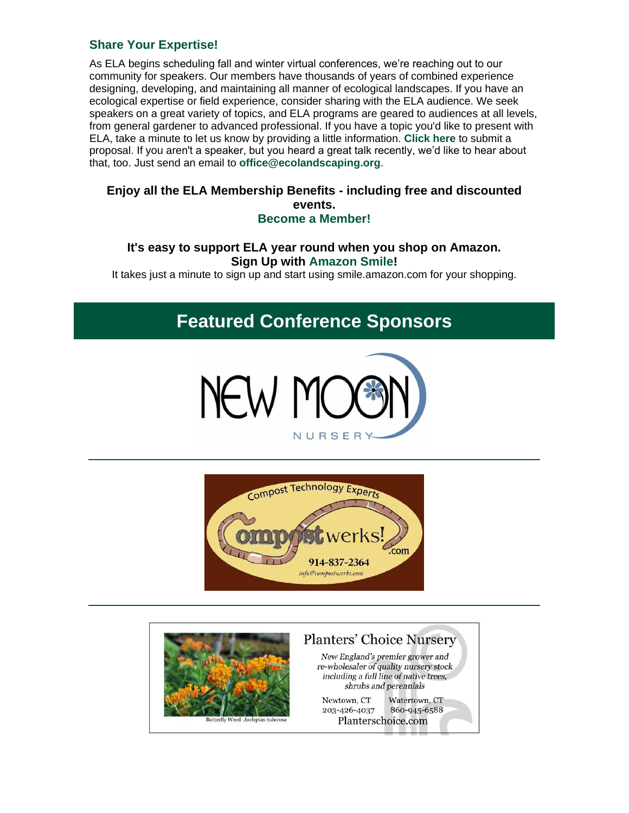# **Share Your Expertise!**

As ELA begins scheduling fall and winter virtual conferences, we're reaching out to our community for speakers. Our members have thousands of years of combined experience designing, developing, and maintaining all manner of ecological landscapes. If you have an ecological expertise or field experience, consider sharing with the ELA audience. We seek speakers on a great variety of topics, and ELA programs are geared to audiences at all levels, from general gardener to advanced professional. If you have a topic you'd like to present with ELA, take a minute to let us know by providing a little information. **[Click here](https://r20.rs6.net/tn.jsp?f=001_IfXVrcu6DhDHC4pZmx4Qz1HtOdLnMdEeBB92HCvgpSvzzVvtuzzhOIImsV7-f6mXHnmEG-rzPWKNGJd5SIAUq6xoiBgtvaFH-xPF-BL9tF4HE9wM2Qzbz1M5bC2LlzG9iKIc_vx480UrmnQMoLRu6uGd19hwHQ125Ha12k4PRJLOorgBB0qb9DlagOZAlhBLKGkCEiOYQQ=&c=kKxh0GTS0Z66ScxW-a08U9RHpQt7RurTgQwjzn_tO1od5R1AfTFqYQ==&ch=fQmOyWa4e6_zjXYxrfqZcjEV0CWhik6ggvwBUNYQsA1HGOepIBZSBg==)** to submit a proposal. If you aren't a speaker, but you heard a great talk recently, we'd like to hear about that, too. Just send an email to **[office@ecolandscaping.org](mailto:office@ecolandscaping.org)**.

## **Enjoy all the ELA Membership Benefits - including free and discounted events. [Become a Member!](https://r20.rs6.net/tn.jsp?f=001_IfXVrcu6DhDHC4pZmx4Qz1HtOdLnMdEeBB92HCvgpSvzzVvtuzzhCnyyUZa2BBdvwGJMZoi3UT2_qvzkyoxBaftWLoqK1T6zJ26L5-pAj1bUUwd0XhYgLuiqfsMXqS-kv9PEIe3UJfKMgNfVSdD3-fB5_FYOSq0vkYmna67iaI=&c=kKxh0GTS0Z66ScxW-a08U9RHpQt7RurTgQwjzn_tO1od5R1AfTFqYQ==&ch=fQmOyWa4e6_zjXYxrfqZcjEV0CWhik6ggvwBUNYQsA1HGOepIBZSBg==)**

## **It's easy to support ELA year round when you shop on Amazon. Sign Up with [Amazon Smile!](https://r20.rs6.net/tn.jsp?f=001_IfXVrcu6DhDHC4pZmx4Qz1HtOdLnMdEeBB92HCvgpSvzzVvtuzzhBnM64Zud2A_bIn0z7zNmusi0qvMYA9EJpTMXhXHnh30R7OWT7TvItuPq1zRFSUrf5xpWmik00Y2PdehBRMyaToLWL0FyqMi8fsUBjxZYGAnf6JjQsl4L0k=&c=kKxh0GTS0Z66ScxW-a08U9RHpQt7RurTgQwjzn_tO1od5R1AfTFqYQ==&ch=fQmOyWa4e6_zjXYxrfqZcjEV0CWhik6ggvwBUNYQsA1HGOepIBZSBg==)**

It takes just a minute to sign up and start using smile.amazon.com for your shopping.

# **Featured Conference Sponsors**





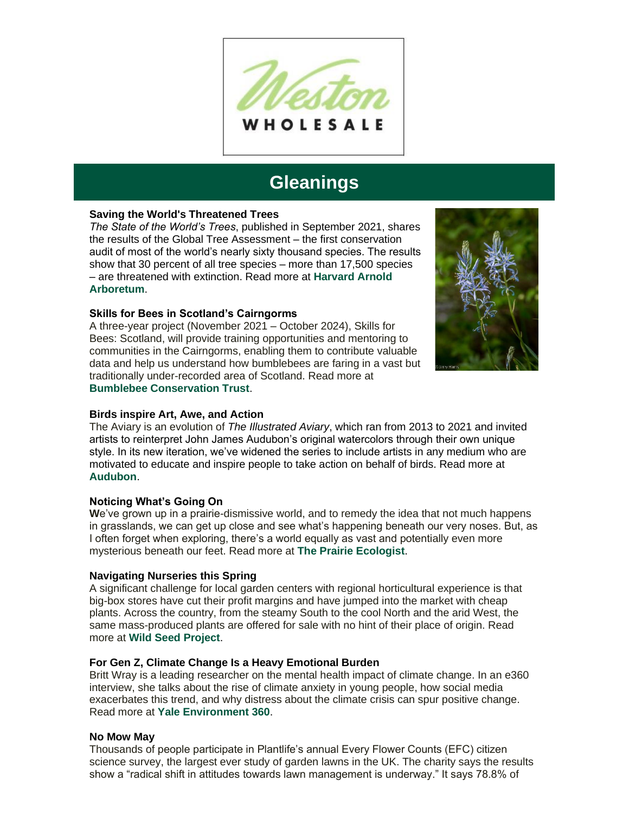

# **Gleanings**

### **Saving the World's Threatened Trees**

*The State of the World's Trees*, published in September 2021, shares the results of the Global Tree Assessment – the first conservation audit of most of the world's nearly sixty thousand species. The results show that 30 percent of all tree species – more than 17,500 species – are threatened with extinction. Read more at **[Harvard Arnold](https://r20.rs6.net/tn.jsp?f=001_IfXVrcu6DhDHC4pZmx4Qz1HtOdLnMdEeBB92HCvgpSvzzVvtuzzhEN4l0IQ615L-v1dO1geaTF2FIvlDFvVj34MNT7flQDcGv5TdyOKt8pw1YCMqFWGcJMib_oVGXeiu956PHTzUekU84_pMgmSdrH-yYY2huyyJRJJZTYWaE7frHv3DPnFwquinXQyjIIxRzGsVz2vUkZRiySY7UGYMw==&c=kKxh0GTS0Z66ScxW-a08U9RHpQt7RurTgQwjzn_tO1od5R1AfTFqYQ==&ch=fQmOyWa4e6_zjXYxrfqZcjEV0CWhik6ggvwBUNYQsA1HGOepIBZSBg==)  [Arboretum](https://r20.rs6.net/tn.jsp?f=001_IfXVrcu6DhDHC4pZmx4Qz1HtOdLnMdEeBB92HCvgpSvzzVvtuzzhEN4l0IQ615L-v1dO1geaTF2FIvlDFvVj34MNT7flQDcGv5TdyOKt8pw1YCMqFWGcJMib_oVGXeiu956PHTzUekU84_pMgmSdrH-yYY2huyyJRJJZTYWaE7frHv3DPnFwquinXQyjIIxRzGsVz2vUkZRiySY7UGYMw==&c=kKxh0GTS0Z66ScxW-a08U9RHpQt7RurTgQwjzn_tO1od5R1AfTFqYQ==&ch=fQmOyWa4e6_zjXYxrfqZcjEV0CWhik6ggvwBUNYQsA1HGOepIBZSBg==)**.

### **Skills for Bees in Scotland's Cairngorms**

A three-year project (November 2021 – October 2024), Skills for Bees: Scotland, will provide training opportunities and mentoring to communities in the Cairngorms, enabling them to contribute valuable data and help us understand how bumblebees are faring in a vast but traditionally under-recorded area of Scotland. Read more at **[Bumblebee Conservation Trust](https://r20.rs6.net/tn.jsp?f=001_IfXVrcu6DhDHC4pZmx4Qz1HtOdLnMdEeBB92HCvgpSvzzVvtuzzhEN4l0IQ615LrtBXeCsdEemyGH2mfb9TAcgNcBnbqxnDVcESf92Y5WN7LOOysN52Q6MMjfUZdxNVivUSKvfkqwQ-1l8Z9Hop74MTMB7cmqQ-Fxw9Puq_QA7n1zqejg7WWn59cxDe_6XSWHuuSeQaEzg=&c=kKxh0GTS0Z66ScxW-a08U9RHpQt7RurTgQwjzn_tO1od5R1AfTFqYQ==&ch=fQmOyWa4e6_zjXYxrfqZcjEV0CWhik6ggvwBUNYQsA1HGOepIBZSBg==)**.



### **Birds inspire Art, Awe, and Action**

The Aviary is an evolution of *The Illustrated Aviary*, which ran from 2013 to 2021 and invited artists to reinterpret John James Audubon's original watercolors through their own unique style. In its new iteration, we've widened the series to include artists in any medium who are motivated to educate and inspire people to take action on behalf of birds. Read more at **[Audubon](https://r20.rs6.net/tn.jsp?f=001_IfXVrcu6DhDHC4pZmx4Qz1HtOdLnMdEeBB92HCvgpSvzzVvtuzzhEN4l0IQ615LWS8dnFvEhCAW3ZD9PsQG4v4maY876Ppc5wbch6kTlRTS6T3BtZOeLGKdwCVUdpF0pb8I1W32fVhftILy5uNQhNVRl1iVCgZdaJJsSUylmCc=&c=kKxh0GTS0Z66ScxW-a08U9RHpQt7RurTgQwjzn_tO1od5R1AfTFqYQ==&ch=fQmOyWa4e6_zjXYxrfqZcjEV0CWhik6ggvwBUNYQsA1HGOepIBZSBg==)**.

### **Noticing What's Going On**

We've grown up in a prairie-dismissive world, and to remedy the idea that not much happens in grasslands, we can get up close and see what's happening beneath our very noses. But, as I often forget when exploring, there's a world equally as vast and potentially even more mysterious beneath our feet. Read more at **[The Prairie Ecologist](https://r20.rs6.net/tn.jsp?f=001_IfXVrcu6DhDHC4pZmx4Qz1HtOdLnMdEeBB92HCvgpSvzzVvtuzzhEN4l0IQ615LhifiaaMm0GXTPrYTSFA8KBImKLlgBH7q0c-IqcZ-K7xXhzMkvYUukoiBf_t-hjaVce6m7weHtFC-YU2gZNK_oNoR-JTX-i357E4O4UpRKG9cTzuoCsM2JK6ohdl_GYJuSE7bvUt09soaJn2PO-0lGiX2uhNIRZGH_2lA_v3XqkbBe0CN48PScDynAVP3kfWll2RnJA2-DW2wIdyLCt97LQ==&c=kKxh0GTS0Z66ScxW-a08U9RHpQt7RurTgQwjzn_tO1od5R1AfTFqYQ==&ch=fQmOyWa4e6_zjXYxrfqZcjEV0CWhik6ggvwBUNYQsA1HGOepIBZSBg==)**.

### **Navigating Nurseries this Spring**

A significant challenge for local garden centers with regional horticultural experience is that big-box stores have cut their profit margins and have jumped into the market with cheap plants. Across the country, from the steamy South to the cool North and the arid West, the same mass-produced plants are offered for sale with no hint of their place of origin. Read more a[t](https://r20.rs6.net/tn.jsp?f=001_IfXVrcu6DhDHC4pZmx4Qz1HtOdLnMdEeBB92HCvgpSvzzVvtuzzhEN4l0IQ615L-K653ZQpbQ4VphT6bF2A0z2gYC3uFq7qI-WwZobmi8uwlOi7zmBpwoZndEoXAOkDB1cp20wgwOutVkovf1SNlA__VH4slGi1Gv5i-LtjEgRJWM-NW5YUMA31DBJRNwKI8Gpv0K0GX713p5XIX0-B0SrE7AFIdEmhdFL_o5IIUnk=&c=kKxh0GTS0Z66ScxW-a08U9RHpQt7RurTgQwjzn_tO1od5R1AfTFqYQ==&ch=fQmOyWa4e6_zjXYxrfqZcjEV0CWhik6ggvwBUNYQsA1HGOepIBZSBg==) **[Wild Seed Project](https://r20.rs6.net/tn.jsp?f=001_IfXVrcu6DhDHC4pZmx4Qz1HtOdLnMdEeBB92HCvgpSvzzVvtuzzhEN4l0IQ615L-K653ZQpbQ4VphT6bF2A0z2gYC3uFq7qI-WwZobmi8uwlOi7zmBpwoZndEoXAOkDB1cp20wgwOutVkovf1SNlA__VH4slGi1Gv5i-LtjEgRJWM-NW5YUMA31DBJRNwKI8Gpv0K0GX713p5XIX0-B0SrE7AFIdEmhdFL_o5IIUnk=&c=kKxh0GTS0Z66ScxW-a08U9RHpQt7RurTgQwjzn_tO1od5R1AfTFqYQ==&ch=fQmOyWa4e6_zjXYxrfqZcjEV0CWhik6ggvwBUNYQsA1HGOepIBZSBg==)**.

### **For Gen Z, Climate Change Is a Heavy Emotional Burden**

Britt Wray is a leading researcher on the mental health impact of climate change. In an e360 interview, she talks about the rise of climate anxiety in young people, how social media exacerbates this trend, and why distress about the climate crisis can spur positive change. Read more at **[Yale Environment 360](https://r20.rs6.net/tn.jsp?f=001_IfXVrcu6DhDHC4pZmx4Qz1HtOdLnMdEeBB92HCvgpSvzzVvtuzzhEN4l0IQ615LZXIFLNWjXNa8dk5b0i2590gDnDWbJYclDVH5F3jfS93zPpEjqXQcOpfqWnW1_ijqx6BGjNSpJeXZ1-JkCSLOhZXmO_gDXrRRDV1mBhhod_Q6eDfiKrPAaRYEEtYBKKB6X0jMUTdZmOuFkW1f077DpUtbidxpeXBE&c=kKxh0GTS0Z66ScxW-a08U9RHpQt7RurTgQwjzn_tO1od5R1AfTFqYQ==&ch=fQmOyWa4e6_zjXYxrfqZcjEV0CWhik6ggvwBUNYQsA1HGOepIBZSBg==)**.

### **No Mow May**

Thousands of people participate in Plantlife's annual Every Flower Counts (EFC) citizen science survey, the largest ever study of garden lawns in the UK. The charity says the results show a "radical shift in attitudes towards lawn management is underway." It says 78.8% of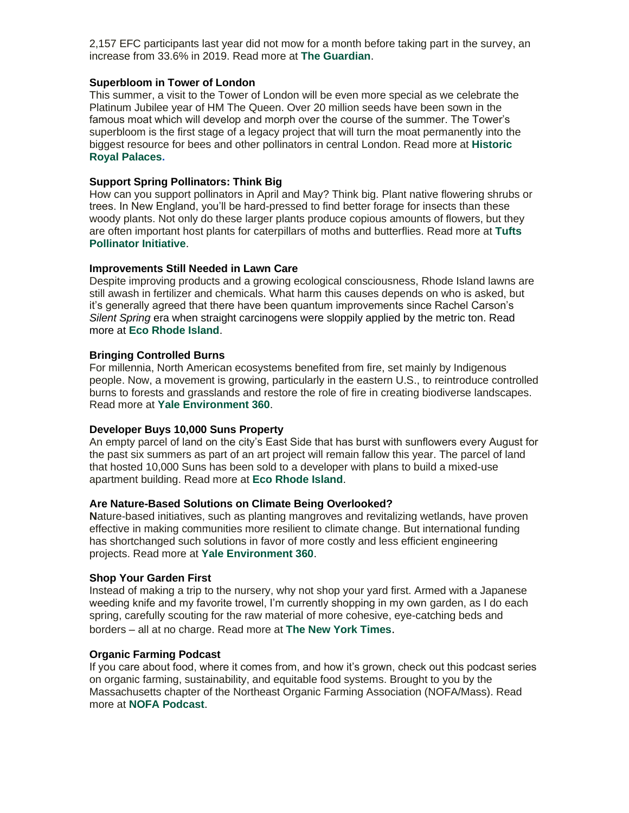2,157 EFC participants last year did not mow for a month before taking part in the survey, an increase from 33.6% in 2019. Read more at **[The Guardian](https://r20.rs6.net/tn.jsp?f=001_IfXVrcu6DhDHC4pZmx4Qz1HtOdLnMdEeBB92HCvgpSvzzVvtuzzhEN4l0IQ615LO1iUJhS3sM7Xv9lNUGgjR3qUCxvkegX-cY4fplwqIVg0Ya5MUD8foEZE63-Bgciha26Sm53BqJA9T2TnFgfw3OoPf4aOq_o1DQ6yWb-WZWLSg2FRfS1jnv52qrDXkTEIkowZWI8zEeCFaREkXhYz__GU-fztbatBbaR9DEtlK0GIc4-fghAangIqex2LGtIPoPATZqjeYU0=&c=kKxh0GTS0Z66ScxW-a08U9RHpQt7RurTgQwjzn_tO1od5R1AfTFqYQ==&ch=fQmOyWa4e6_zjXYxrfqZcjEV0CWhik6ggvwBUNYQsA1HGOepIBZSBg==)**.

#### **Superbloom in Tower of London**

This summer, a visit to the Tower of London will be even more special as we celebrate the Platinum Jubilee year of HM The Queen. Over 20 million seeds have been sown in the famous moat which will develop and morph over the course of the summer. The Tower's superbloom is the first stage of a legacy project that will turn the moat permanently into the biggest resource for bees and other pollinators in central London. Read more at **[Historic](https://r20.rs6.net/tn.jsp?f=001_IfXVrcu6DhDHC4pZmx4Qz1HtOdLnMdEeBB92HCvgpSvzzVvtuzzhEN4l0IQ615LaOVPdwfjYB4R0sK0iHkcF2tXP53PPDORgdSTQwEo7-n2EqAQ0zQT139EPe_O3ZCgd8uO0MS3UJtbhgTI5uR3Caghr4QNNF-HYyBmf6-NA8kZQdLNOBbJK0Y4AL-kKanzVk57sbpllcNcLYAm5CB1VgKrxFHJeT9-3WLbT9JLwUVG0Qz5LP976w==&c=kKxh0GTS0Z66ScxW-a08U9RHpQt7RurTgQwjzn_tO1od5R1AfTFqYQ==&ch=fQmOyWa4e6_zjXYxrfqZcjEV0CWhik6ggvwBUNYQsA1HGOepIBZSBg==)  [Royal Palaces.](https://r20.rs6.net/tn.jsp?f=001_IfXVrcu6DhDHC4pZmx4Qz1HtOdLnMdEeBB92HCvgpSvzzVvtuzzhEN4l0IQ615LaOVPdwfjYB4R0sK0iHkcF2tXP53PPDORgdSTQwEo7-n2EqAQ0zQT139EPe_O3ZCgd8uO0MS3UJtbhgTI5uR3Caghr4QNNF-HYyBmf6-NA8kZQdLNOBbJK0Y4AL-kKanzVk57sbpllcNcLYAm5CB1VgKrxFHJeT9-3WLbT9JLwUVG0Qz5LP976w==&c=kKxh0GTS0Z66ScxW-a08U9RHpQt7RurTgQwjzn_tO1od5R1AfTFqYQ==&ch=fQmOyWa4e6_zjXYxrfqZcjEV0CWhik6ggvwBUNYQsA1HGOepIBZSBg==)** 

#### **Support Spring Pollinators: Think Big**

How can you support pollinators in April and May? Think big. Plant native flowering shrubs or trees. In New England, you'll be hard-pressed to find better forage for insects than these woody plants. Not only do these larger plants produce copious amounts of flowers, but they are often important host plants for caterpillars of moths and butterflies. Read more at **[Tufts](https://r20.rs6.net/tn.jsp?f=001_IfXVrcu6DhDHC4pZmx4Qz1HtOdLnMdEeBB92HCvgpSvzzVvtuzzhEN4l0IQ615LynYoHuN5n2SVCPxc5ZyQqyYaaSfq_7u2yfc8sKenFZGO4VsUPKInnBQKcanjejQYaWbSTRPPc_5SZkqZR6544Gn5gts7kQ6mnOpKc8eP5ki26ng2Y1dqWrTAOuORho12jNRCADXImIlfAKC7D32vcDay_sK3YLFQ7zP4a-owMds=&c=kKxh0GTS0Z66ScxW-a08U9RHpQt7RurTgQwjzn_tO1od5R1AfTFqYQ==&ch=fQmOyWa4e6_zjXYxrfqZcjEV0CWhik6ggvwBUNYQsA1HGOepIBZSBg==)  [Pollinator Initiative](https://r20.rs6.net/tn.jsp?f=001_IfXVrcu6DhDHC4pZmx4Qz1HtOdLnMdEeBB92HCvgpSvzzVvtuzzhEN4l0IQ615LynYoHuN5n2SVCPxc5ZyQqyYaaSfq_7u2yfc8sKenFZGO4VsUPKInnBQKcanjejQYaWbSTRPPc_5SZkqZR6544Gn5gts7kQ6mnOpKc8eP5ki26ng2Y1dqWrTAOuORho12jNRCADXImIlfAKC7D32vcDay_sK3YLFQ7zP4a-owMds=&c=kKxh0GTS0Z66ScxW-a08U9RHpQt7RurTgQwjzn_tO1od5R1AfTFqYQ==&ch=fQmOyWa4e6_zjXYxrfqZcjEV0CWhik6ggvwBUNYQsA1HGOepIBZSBg==)**.

#### **Improvements Still Needed in Lawn Care**

Despite improving products and a growing ecological consciousness, Rhode Island lawns are still awash in fertilizer and chemicals. What harm this causes depends on who is asked, but it's generally agreed that there have been quantum improvements since Rachel Carson's *Silent Spring* era when straight carcinogens were sloppily applied by the metric ton. Read more at **[Eco Rhode Island](https://r20.rs6.net/tn.jsp?f=001_IfXVrcu6DhDHC4pZmx4Qz1HtOdLnMdEeBB92HCvgpSvzzVvtuzzhEN4l0IQ615LkMIxk606j9KTMWrykWfzM4AKEeLmEC0n7Uum8w90GvZhMPrwnEjwDdSvHS2lL5DHhb7ziWBw9kPWuKbDDLhf8JQoKnTp0wemBmiRIAVIQvxcnThV-R43YOB0mV5bnyzzaWz3LacN3VfwrGGBsypjuISZvdcE_sLex1avGgz5ViNiG0C3MzzrfQ==&c=kKxh0GTS0Z66ScxW-a08U9RHpQt7RurTgQwjzn_tO1od5R1AfTFqYQ==&ch=fQmOyWa4e6_zjXYxrfqZcjEV0CWhik6ggvwBUNYQsA1HGOepIBZSBg==)**.

#### **Bringing Controlled Burns**

For millennia, North American ecosystems benefited from fire, set mainly by Indigenous people. Now, a movement is growing, particularly in the eastern U.S., to reintroduce controlled burns to forests and grasslands and restore the role of fire in creating biodiverse landscapes. Read more at **[Yale Environment 360](https://r20.rs6.net/tn.jsp?f=001_IfXVrcu6DhDHC4pZmx4Qz1HtOdLnMdEeBB92HCvgpSvzzVvtuzzhEN4l0IQ615LDTLT9o2Oof7xDMDLxBYgr5PgR1nsZtB6aHHS2tsXRuAuZFR1nBDxN1zec0bIGL9QYuIUoe2SMrLbV2AsgLTscIZflfS8hnk3e_uxCeJVUHyI72-8iZO9HXQqkjOSMS2By02iwQC4bJccgeBK5F3_bH74PUqB572_3L3h4fS7UQE=&c=kKxh0GTS0Z66ScxW-a08U9RHpQt7RurTgQwjzn_tO1od5R1AfTFqYQ==&ch=fQmOyWa4e6_zjXYxrfqZcjEV0CWhik6ggvwBUNYQsA1HGOepIBZSBg==)**.

#### **Developer Buys 10,000 Suns Property**

An empty parcel of land on the city's East Side that has burst with sunflowers every August for the past six summers as part of an art project will remain fallow this year. The parcel of land that hosted 10,000 Suns has been sold to a developer with plans to build a mixed-use apartment building. Read more at **[Eco Rhode Island](https://r20.rs6.net/tn.jsp?f=001_IfXVrcu6DhDHC4pZmx4Qz1HtOdLnMdEeBB92HCvgpSvzzVvtuzzhEN4l0IQ615LjWTZome1PAiXa5e__a7Yu0YP4IzYFjqiPYDc8IZQRJ3-HTF9WMSJlo11DHUEMSqRAk8FN0lg4HLgJ3Ih-GL4XEJ59IEU86M0NuxyXbDdhtXndRugPbIGz7KZ-Z2pRoBpckyQ-7MXtO9dgznCNfOFCdlNcDkzLWU8rHrWM1aZlq1T80TWSFjKMg==&c=kKxh0GTS0Z66ScxW-a08U9RHpQt7RurTgQwjzn_tO1od5R1AfTFqYQ==&ch=fQmOyWa4e6_zjXYxrfqZcjEV0CWhik6ggvwBUNYQsA1HGOepIBZSBg==)**.

#### **Are Nature-Based Solutions on Climate Being Overlooked?**

**N**ature-based initiatives, such as planting mangroves and revitalizing wetlands, have proven effective in making communities more resilient to climate change. But international funding has shortchanged such solutions in favor of more costly and less efficient engineering projects. Read more at **[Yale Environment 360](https://r20.rs6.net/tn.jsp?f=001_IfXVrcu6DhDHC4pZmx4Qz1HtOdLnMdEeBB92HCvgpSvzzVvtuzzhEN4l0IQ615LNqBoV1C5K-6Wi5yjECkJ9_GkcNxm_PzmlFq1BD_NoHGhEzArrx0SkeP2huOMpssBD_pDM4q3ehYB_ym6Jo1RfQ0b9MxtTGpdHo8n0MYsP06GFzgUhJQhFy9BdrDwPphrlyUt-z9nJbLjyMoQalMLCke7f8ju06uKj58xfQlNAKw=&c=kKxh0GTS0Z66ScxW-a08U9RHpQt7RurTgQwjzn_tO1od5R1AfTFqYQ==&ch=fQmOyWa4e6_zjXYxrfqZcjEV0CWhik6ggvwBUNYQsA1HGOepIBZSBg==)**.

#### **Shop Your Garden First**

Instead of making a trip to the nursery, why not shop your yard first. Armed with a Japanese weeding knife and my favorite trowel, I'm currently shopping in my own garden, as I do each spring, carefully scouting for the raw material of more cohesive, eye-catching beds and borders – all at no charge. Read more at **[The New York Times](https://r20.rs6.net/tn.jsp?f=001_IfXVrcu6DhDHC4pZmx4Qz1HtOdLnMdEeBB92HCvgpSvzzVvtuzzhEN4l0IQ615L1mJEX4HSLjirRo00w4d2sf_-7TArqrYD7zxkjimG9ivCrv9nOItgSghKETSnvWRlRCYpkgr7016h7v-x6JBs-RjYJKWhoBQSuNAtlvYYH5IVZhHJ0gjmbYwteLML7Kjgv6cLa7pyIcu5nCDEs9keK3h-HznHfxg_Kfby-m5T2Tc=&c=kKxh0GTS0Z66ScxW-a08U9RHpQt7RurTgQwjzn_tO1od5R1AfTFqYQ==&ch=fQmOyWa4e6_zjXYxrfqZcjEV0CWhik6ggvwBUNYQsA1HGOepIBZSBg==)**.

### **Organic Farming Podcast**

If you care about food, where it comes from, and how it's grown, check out this podcast series on organic farming, sustainability, and equitable food systems. Brought to you by the Massachusetts chapter of the Northeast Organic Farming Association (NOFA/Mass). Read more at **[NOFA Podcast](https://r20.rs6.net/tn.jsp?f=001_IfXVrcu6DhDHC4pZmx4Qz1HtOdLnMdEeBB92HCvgpSvzzVvtuzzhEN4l0IQ615LhO6WoJMIYfoSzc9w3WccE0RXpN-DdUpUNoYoW6ZlxzLO_m0HsP0DBu9rWEf-v0JLzi1TUjZ2ezer9uwMILSv-7lPrVbvrKxh&c=kKxh0GTS0Z66ScxW-a08U9RHpQt7RurTgQwjzn_tO1od5R1AfTFqYQ==&ch=fQmOyWa4e6_zjXYxrfqZcjEV0CWhik6ggvwBUNYQsA1HGOepIBZSBg==)**.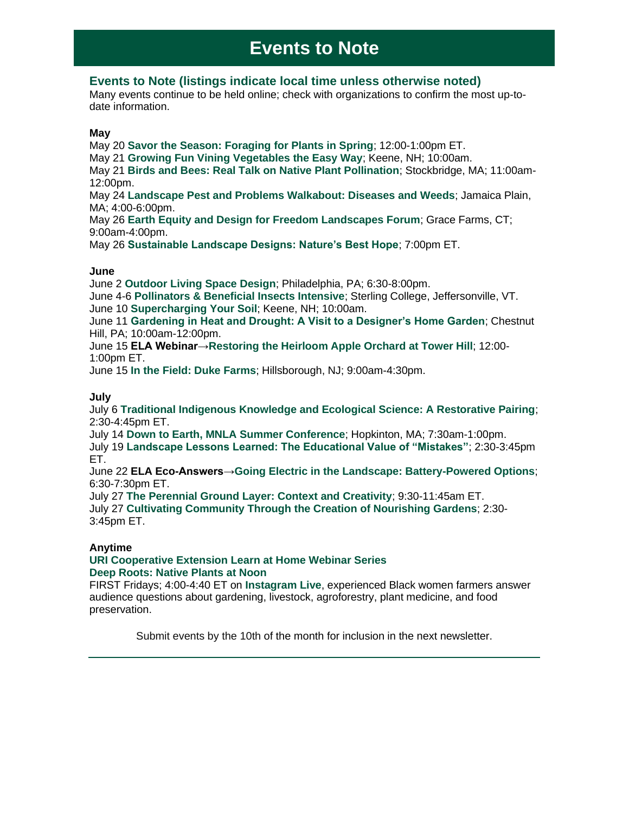# **Events to Note**

## **Events to Note (listings indicate local time unless otherwise noted)**

Many events continue to be held online; check with organizations to confirm the most up-todate information.

#### **May**

May 20 **[Savor the Season: Foraging for Plants in Spring](https://r20.rs6.net/tn.jsp?f=001_IfXVrcu6DhDHC4pZmx4Qz1HtOdLnMdEeBB92HCvgpSvzzVvtuzzhEN4l0IQ615LtchUHEWHlaUP_TAaFS56Y2iP_-gTZyTZTZaWyBkQOfm0yLsNWfxDmo0-Bu71hcGoL0T5RCTf7PJ8DH_8298Ku-dztTTc26Hj8VeEixHio5JqkI8w-jX3xYdICY9lkey2Ng9maRX3LDFEVfmjcxw6N8twoTnsEH3DHIYHkdo93hQ=&c=kKxh0GTS0Z66ScxW-a08U9RHpQt7RurTgQwjzn_tO1od5R1AfTFqYQ==&ch=fQmOyWa4e6_zjXYxrfqZcjEV0CWhik6ggvwBUNYQsA1HGOepIBZSBg==)**; 12:00-1:00pm ET.

May 21 **[Growing Fun Vining Vegetables the Easy Way](https://r20.rs6.net/tn.jsp?f=001_IfXVrcu6DhDHC4pZmx4Qz1HtOdLnMdEeBB92HCvgpSvzzVvtuzzhEN4l0IQ615LprjpudpkeLgQWkiTWA_Wt-fcD6_VSfqS0p2FgbewoT0MslnmCNWNFXuOAV5PR-XPzvbrINDKz6CfkViDTtKnthD3Vz_6NNB2P-v0kYHi-vM=&c=kKxh0GTS0Z66ScxW-a08U9RHpQt7RurTgQwjzn_tO1od5R1AfTFqYQ==&ch=fQmOyWa4e6_zjXYxrfqZcjEV0CWhik6ggvwBUNYQsA1HGOepIBZSBg==)**; Keene, NH; 10:00am.

May 21 **[Birds and Bees: Real Talk on Native Plant Pollination](https://r20.rs6.net/tn.jsp?f=001_IfXVrcu6DhDHC4pZmx4Qz1HtOdLnMdEeBB92HCvgpSvzzVvtuzzhEN4l0IQ615LAOUcZDzYJV37TUYFpW2iWJT65UKNjQ680XlU_giny95Int4l0GfJksxqNQejU06GgKaa0AlbH8y-T6vKPxvxeS6-fXw0ZBdwEQyNeTaLLPIgMQ2HGDKba5Hhf5JyDgWJ&c=kKxh0GTS0Z66ScxW-a08U9RHpQt7RurTgQwjzn_tO1od5R1AfTFqYQ==&ch=fQmOyWa4e6_zjXYxrfqZcjEV0CWhik6ggvwBUNYQsA1HGOepIBZSBg==)**; Stockbridge, MA; 11:00am-12:00pm.

May 24 **[Landscape Pest and Problems Walkabout: Diseases and Weeds](https://r20.rs6.net/tn.jsp?f=001_IfXVrcu6DhDHC4pZmx4Qz1HtOdLnMdEeBB92HCvgpSvzzVvtuzzhPq3DgJ1btVlBtc0k2hs7UlyHCI_E_abqAj66t6pKGj1k29jv_WvmrXJKFTmBgIjS4-JkWB38jV_eBOVshTD3u6eb6M1hlJSq-DK8fpVOkYOEG2YbE9Z0h-rtiz_m1AX_KohbxvNdKYIoNf3SUbqNikh-hjQJ18-MNyYhuM_7jZ6PWZMCIJQhII=&c=kKxh0GTS0Z66ScxW-a08U9RHpQt7RurTgQwjzn_tO1od5R1AfTFqYQ==&ch=fQmOyWa4e6_zjXYxrfqZcjEV0CWhik6ggvwBUNYQsA1HGOepIBZSBg==)**; Jamaica Plain, MA; 4:00-6:00pm.

May 26 **[Earth Equity and Design for Freedom Landscapes Forum](https://r20.rs6.net/tn.jsp?f=001_IfXVrcu6DhDHC4pZmx4Qz1HtOdLnMdEeBB92HCvgpSvzzVvtuzzhEN4l0IQ615LnV507E2Alo40nnIzkpQFjBQpT_N8OupZQXLH6zbyRvh2iKWwul2_C1I-oERzUra3tRy88OrRfTQR-c1G7GlkzIv7GdNewLJ1SUNWBdjmbFG9K4oDXxlpNN3EGJx5lz9MmunmMwdU8YY=&c=kKxh0GTS0Z66ScxW-a08U9RHpQt7RurTgQwjzn_tO1od5R1AfTFqYQ==&ch=fQmOyWa4e6_zjXYxrfqZcjEV0CWhik6ggvwBUNYQsA1HGOepIBZSBg==)**; Grace Farms, CT; 9:00am-4:00pm.

May 26 **[Sustainable Landscape Designs: Nature's Best Hope](https://r20.rs6.net/tn.jsp?f=001_IfXVrcu6DhDHC4pZmx4Qz1HtOdLnMdEeBB92HCvgpSvzzVvtuzzhEN4l0IQ615LSu4sC-ENLXJOnhJ2auJ2fPCZlFqTDewobxyILFApJTkKUaCcpEAGbiBCQZmk4a67Ybhw5Wj5VaWsSJDhO79P8o-fIoNY--Kf1g4LsFrMCbLyln-L61nFOYM51qDEmAdGhOaZoC5zQp5tg0-peAHB7m01V4oxwD1uq7beBaohn9RkNMGI2Rf_gw==&c=kKxh0GTS0Z66ScxW-a08U9RHpQt7RurTgQwjzn_tO1od5R1AfTFqYQ==&ch=fQmOyWa4e6_zjXYxrfqZcjEV0CWhik6ggvwBUNYQsA1HGOepIBZSBg==)**; 7:00pm ET.

### **June**

June 2 **[Outdoor Living Space Design](https://r20.rs6.net/tn.jsp?f=001_IfXVrcu6DhDHC4pZmx4Qz1HtOdLnMdEeBB92HCvgpSvzzVvtuzzhEN4l0IQ615LkJsVOFJQrSf0BUQF1hNuLEo9xMGivWXqx0PCNl99C2U1XDAyo54y2NSluSyVzdOK5Sl0wU65lCxR63IuXFPhSvznIpooPqd_mv7JsaT3MbPB1r3baCXyyR8cpORyrcAkQKU4B1nXjeA=&c=kKxh0GTS0Z66ScxW-a08U9RHpQt7RurTgQwjzn_tO1od5R1AfTFqYQ==&ch=fQmOyWa4e6_zjXYxrfqZcjEV0CWhik6ggvwBUNYQsA1HGOepIBZSBg==)**; Philadelphia, PA; 6:30-8:00pm.

June 4-6 **[Pollinators & Beneficial Insects Intensive](https://r20.rs6.net/tn.jsp?f=001_IfXVrcu6DhDHC4pZmx4Qz1HtOdLnMdEeBB92HCvgpSvzzVvtuzzhEN4l0IQ615LP3cMPdELc8_eYuP8jU3YOiinoDNI-GKWOYAJTaTPkb_S4BvZ9czuN4Bwz_q3HTxjvxFwioOducgpfeuKnFLELRorWIKrYdeZg10_Vgan2HGyB-E-fAmEOztLv6vlVMFdkac690RDlOU6wHPZQ2Dhdw==&c=kKxh0GTS0Z66ScxW-a08U9RHpQt7RurTgQwjzn_tO1od5R1AfTFqYQ==&ch=fQmOyWa4e6_zjXYxrfqZcjEV0CWhik6ggvwBUNYQsA1HGOepIBZSBg==)**; Sterling College, Jeffersonville, VT. June 10 **[Supercharging Your Soil](https://r20.rs6.net/tn.jsp?f=001_IfXVrcu6DhDHC4pZmx4Qz1HtOdLnMdEeBB92HCvgpSvzzVvtuzzhEN4l0IQ615LprjpudpkeLgQWkiTWA_Wt-fcD6_VSfqS0p2FgbewoT0MslnmCNWNFXuOAV5PR-XPzvbrINDKz6CfkViDTtKnthD3Vz_6NNB2P-v0kYHi-vM=&c=kKxh0GTS0Z66ScxW-a08U9RHpQt7RurTgQwjzn_tO1od5R1AfTFqYQ==&ch=fQmOyWa4e6_zjXYxrfqZcjEV0CWhik6ggvwBUNYQsA1HGOepIBZSBg==)**; Keene, NH; 10:00am.

June 11 **[Gardening in Heat and Drought: A Visit to a Designer's Home Garden](https://r20.rs6.net/tn.jsp?f=001_IfXVrcu6DhDHC4pZmx4Qz1HtOdLnMdEeBB92HCvgpSvzzVvtuzzhEN4l0IQ615LkJsVOFJQrSf0BUQF1hNuLEo9xMGivWXqx0PCNl99C2U1XDAyo54y2NSluSyVzdOK5Sl0wU65lCxR63IuXFPhSvznIpooPqd_mv7JsaT3MbPB1r3baCXyyR8cpORyrcAkQKU4B1nXjeA=&c=kKxh0GTS0Z66ScxW-a08U9RHpQt7RurTgQwjzn_tO1od5R1AfTFqYQ==&ch=fQmOyWa4e6_zjXYxrfqZcjEV0CWhik6ggvwBUNYQsA1HGOepIBZSBg==)**; Chestnut Hill, PA; 10:00am-12:00pm.

June 15 **ELA Webinar[→Restoring the Heirloom Apple Orchard at Tower Hill](https://r20.rs6.net/tn.jsp?f=001_IfXVrcu6DhDHC4pZmx4Qz1HtOdLnMdEeBB92HCvgpSvzzVvtuzzhI_uWYWZ1vzAPP1MHGCS_KcA3si5Z6Mi7EDf7dVuZnDfsstGxkOnjDRvtT5t-Ab7J924YFxQ9LiEp0emfZQ24EaFVhdC4MfHlQATR9C5F5oaQSfo6ADSfmwikBhBRDjPfx0Av5OlDkUEvzZRwulLVdTnTsMh6BDh5r_qKtCNs3AWWWVelKngCKE=&c=kKxh0GTS0Z66ScxW-a08U9RHpQt7RurTgQwjzn_tO1od5R1AfTFqYQ==&ch=fQmOyWa4e6_zjXYxrfqZcjEV0CWhik6ggvwBUNYQsA1HGOepIBZSBg==)**; 12:00- 1:00pm ET.

June 15 **[In the Field: Duke Farms](https://r20.rs6.net/tn.jsp?f=001_IfXVrcu6DhDHC4pZmx4Qz1HtOdLnMdEeBB92HCvgpSvzzVvtuzzhEN4l0IQ615LtF6dtvBS9C3mGVZyDDDSERS5PpTsca02-X04uG5rpBUAeQxcdJ9X0oFByL163I5r1kSRox3NgemsZEIKECqj6jQnNlAn-xNtv3eaB4ej9wrZs-bcMNRMtA==&c=kKxh0GTS0Z66ScxW-a08U9RHpQt7RurTgQwjzn_tO1od5R1AfTFqYQ==&ch=fQmOyWa4e6_zjXYxrfqZcjEV0CWhik6ggvwBUNYQsA1HGOepIBZSBg==)**; Hillsborough, NJ; 9:00am-4:30pm.

## **July**

July 6 **[Traditional Indigenous Knowledge and Ecological Science: A Restorative Pairing](https://r20.rs6.net/tn.jsp?f=001_IfXVrcu6DhDHC4pZmx4Qz1HtOdLnMdEeBB92HCvgpSvzzVvtuzzhEN4l0IQ615LtL1FOo1wwFs9soM3IPAJhdvJDIT8jCzU1pf2u3rHcTH_RSjAYp2j3McyLLwLy-abMNiT54bTCvoChrX5McME9bHB6Vqe9OVRiDUgHL_U4ngBvvI4399FfPBP3Sqh1iulxnPrB0qgi_3vnbbSr7520A==&c=kKxh0GTS0Z66ScxW-a08U9RHpQt7RurTgQwjzn_tO1od5R1AfTFqYQ==&ch=fQmOyWa4e6_zjXYxrfqZcjEV0CWhik6ggvwBUNYQsA1HGOepIBZSBg==)**; 2:30-4:45pm ET.

July 14 **[Down to Earth, MNLA Summer Conference](https://r20.rs6.net/tn.jsp?f=001_IfXVrcu6DhDHC4pZmx4Qz1HtOdLnMdEeBB92HCvgpSvzzVvtuzzhEN4l0IQ615LPWskt523Xc-gtbOyzGLY3cxRC5iyqAulkx9iRxAfc9W0jIzGO0aicKlulb2gbRvtgcBJ7PM2TSXrxMMHnOqLUjEn9ww1DeUigvRb826gFgzAnsFHXIsIM8d0-hWUGB0osBJ6-AgP-EruBDyBOkk1A2grPSaHGDKE7yd5EOAtMdCuEEvLH7tPAebbc5awkhDV&c=kKxh0GTS0Z66ScxW-a08U9RHpQt7RurTgQwjzn_tO1od5R1AfTFqYQ==&ch=fQmOyWa4e6_zjXYxrfqZcjEV0CWhik6ggvwBUNYQsA1HGOepIBZSBg==)**; Hopkinton, MA; 7:30am-1:00pm. July 19 **[Landscape Lessons Learned: The Educational Value of "Mistakes"](https://r20.rs6.net/tn.jsp?f=001_IfXVrcu6DhDHC4pZmx4Qz1HtOdLnMdEeBB92HCvgpSvzzVvtuzzhEN4l0IQ615LR78MerZUELXIsJVdHTx-yaSF4vYiN9NbWHrY_HwfkaniwYNCtOL1BoPzfmb_txuaQwkEGTdSsoh-tEMHI9KL3Nk4DhYDHjNSRw5nnSBxH1pnSV_1VjPMfADm3MiQxt3aXpzE73atQqA_SU22pUEuZA==&c=kKxh0GTS0Z66ScxW-a08U9RHpQt7RurTgQwjzn_tO1od5R1AfTFqYQ==&ch=fQmOyWa4e6_zjXYxrfqZcjEV0CWhik6ggvwBUNYQsA1HGOepIBZSBg==)**; 2:30-3:45pm ET.

June 22 **ELA Eco-Answers[→Going Electric in the Landscape: Battery-Powered Options](https://r20.rs6.net/tn.jsp?f=001_IfXVrcu6DhDHC4pZmx4Qz1HtOdLnMdEeBB92HCvgpSvzzVvtuzzhJiH3GvuouXK7pdF_6-fphEw4LM3M1czjdmN03PrDx3BNhmwktbe4gSJth9_5W8uwvyLGFVxf1S9vFenuG6D_S8O1kK6864RfpwE4mF0sdmI94VeAV4P3FIjPtY8-FNJoW4GkrAW-8eLLAQRPC6x7Sgtbsi4KWPL7Q==&c=kKxh0GTS0Z66ScxW-a08U9RHpQt7RurTgQwjzn_tO1od5R1AfTFqYQ==&ch=fQmOyWa4e6_zjXYxrfqZcjEV0CWhik6ggvwBUNYQsA1HGOepIBZSBg==)**; 6:30-7:30pm ET.

July 27 **[The Perennial Ground Layer: Context and Creativity](https://r20.rs6.net/tn.jsp?f=001_IfXVrcu6DhDHC4pZmx4Qz1HtOdLnMdEeBB92HCvgpSvzzVvtuzzhEN4l0IQ615LSvYe5DeUDFkbWp1Vb-ESOMBBA9IeKZDmQQsx7iY2MmPPwff8nA4u3GHKkbHJ9NaskDajZUY0chaRbl-mMP1xC2r_T7AZG8IVefTdALAeU2QVxEjQEWD0Ikv8oL-PFc3k4ObPgSroxUBPeZA2gmrKzw==&c=kKxh0GTS0Z66ScxW-a08U9RHpQt7RurTgQwjzn_tO1od5R1AfTFqYQ==&ch=fQmOyWa4e6_zjXYxrfqZcjEV0CWhik6ggvwBUNYQsA1HGOepIBZSBg==)**; 9:30-11:45am ET. July 27 **[Cultivating Community Through the Creation of Nourishing Gardens](https://r20.rs6.net/tn.jsp?f=001_IfXVrcu6DhDHC4pZmx4Qz1HtOdLnMdEeBB92HCvgpSvzzVvtuzzhEN4l0IQ615LHTaMuwJhn0i1lmFlgwQBsBh8E9duYFy7PqEDfY5eT_F6TVS54S8iyiEEiS5JdlaGiRaGWcNcgi7aCl9cdQEMWRIjsAVyBfknLPrXkJW6xkqVsHszVy5KubLQuXCCDDKcGxAdzscQlgMiv0DGgq6w1Q==&c=kKxh0GTS0Z66ScxW-a08U9RHpQt7RurTgQwjzn_tO1od5R1AfTFqYQ==&ch=fQmOyWa4e6_zjXYxrfqZcjEV0CWhik6ggvwBUNYQsA1HGOepIBZSBg==)**; 2:30- 3:45pm ET.

### **Anytime**

### **[URI Cooperative Extension Learn at Home Webinar Series](https://r20.rs6.net/tn.jsp?f=001AFho08mAnEeBmz843iFWK8NKptjui6lRFEStwzlCyIpUGk5-t9o9e7r1DyUwwx1Zr9ncQo5XvcR251wOMS6rhvmkv80tJ_DW2CLG3eZid2f06skFVz0FEQYsW6y1_cJA4Z13vcSjJj0DTe9oidO8dFb-bsexlUvPweU9jEPfoVQ8_rAXBI0XaIfC51ZFSAYU5up4I7Gnk3AG6x6AWiBIyI4ezJ_2LuvvRSCHfRNyURTp0g-DgZ7Rbw==&c=FELuz_3rfOF6ckbIZGoXYyALx-ce3Pd95vX4qveq6z1wABV3wVGjDQ==&ch=uc69vArgMunqwA4qRtremhqjJJzC5bKqRJOhou9QRAZEkHUgBjD5RQ==) [Deep Roots: Native Plants at Noon](https://r20.rs6.net/tn.jsp?f=001_IfXVrcu6DhDHC4pZmx4Qz1HtOdLnMdEeBB92HCvgpSvzzVvtuzzhOIImsV7-f6m3eyCPtmOGnkduVzF2suITeEv3VVO6m5Z_PPpQzEvvsosYbUOETWX_zWuTF0zeJc2Nzr-kh2xg3einPRzUSV7GcscrEpb1sg0&c=kKxh0GTS0Z66ScxW-a08U9RHpQt7RurTgQwjzn_tO1od5R1AfTFqYQ==&ch=fQmOyWa4e6_zjXYxrfqZcjEV0CWhik6ggvwBUNYQsA1HGOepIBZSBg==)**

FIRST Fridays; 4:00-4:40 ET on **[Instagram Live](https://r20.rs6.net/tn.jsp?f=001_IfXVrcu6DhDHC4pZmx4Qz1HtOdLnMdEeBB92HCvgpSvzzVvtuzzhCa6p_Q7T3d_aleA891eTu1ff6AhmMKrXKg6JrmmVPDfcpy4JLcgH_YupYlzXDR7HTdNdUXmNwhbLQylUfmMlyoKJ8nzFvIhzMkidMKUPHVuLswa-EHR7QU=&c=kKxh0GTS0Z66ScxW-a08U9RHpQt7RurTgQwjzn_tO1od5R1AfTFqYQ==&ch=fQmOyWa4e6_zjXYxrfqZcjEV0CWhik6ggvwBUNYQsA1HGOepIBZSBg==)**, experienced Black women farmers answer audience questions about gardening, livestock, agroforestry, plant medicine, and food preservation.

Submit events by the 10th of the month for inclusion in the next newsletter.